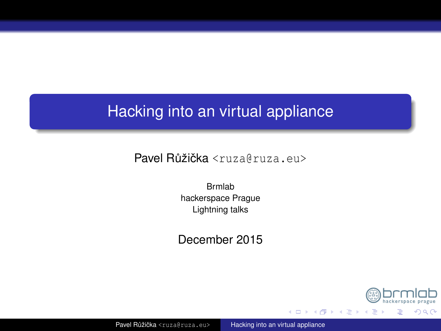# <span id="page-0-0"></span>Hacking into an virtual appliance

Pavel Růžička <ruza@ruza.eu>

Brmlab hackerspace Prague Lightning talks

December 2015



メロトメ 御 トメ ミト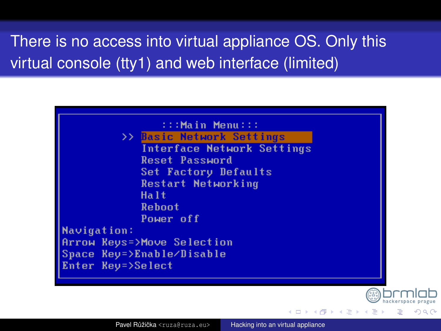There is no access into virtual appliance OS. Only this virtual console (tty1) and web interface (limited)





 $\left\{ \begin{array}{ccc} 1 & 0 & 0 \\ 0 & 1 & 0 \end{array} \right.$   $\left\{ \begin{array}{ccc} \frac{1}{2} & 0 & 0 \\ 0 & 0 & 0 \end{array} \right.$ 

 $\Omega$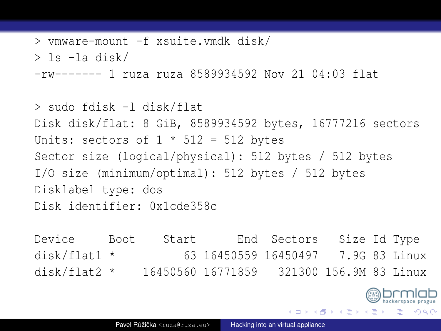```
> vmware-mount -f xsuite.vmdk disk/
> ls -la disk/
-rw------- 1 ruza ruza 8589934592 Nov 21 04:03 flat
```

```
> sudo fdisk -l disk/flat
Disk disk/flat: 8 GiB, 8589934592 bytes, 16777216 sectors
Units: sectors of 1 * 512 = 512 bytes
Sector size (logical/physical): 512 bytes / 512 bytes
I/O size (minimum/optimal): 512 bytes / 512 bytes
Disklabel type: dos
Disk identifier: 0x1cde358c
```
Device Boot Start End Sectors Size Id Type disk/flat1 \* 63 16450559 16450497 7.9G 83 Linux disk/flat2 \* 16450560 16771859 321300 156.9M 83 Linux

≮ロト ⊀伊 ⊦ ⊀ 毛 ⊦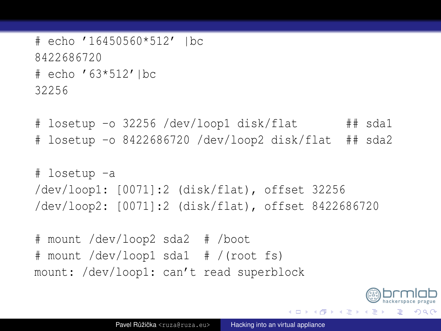```
# echo '16450560*512' |bc
8422686720
# echo '63*512'|bc
32256
```
# losetup -o 32256 /dev/loop1 disk/flat ## sda1 # losetup -o 8422686720 /dev/loop2 disk/flat ## sda2

```
# losetup -a
/dev/loop1: [0071]:2 (disk/flat), offset 32256
/dev/loop2: [0071]:2 (disk/flat), offset 8422686720
```
# mount /dev/loop2 sda2 # /boot # mount /dev/loop1 sda1 # /(root fs) mount: /dev/loop1: can't read superblock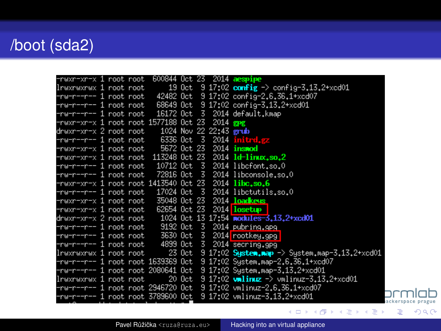# /boot (sda2)

| −rwxr−xr−x 1 root root                                         |  |              |  |          | 600844 Oct 23 2014 aespipe                                                           |
|----------------------------------------------------------------|--|--------------|--|----------|--------------------------------------------------------------------------------------|
| lrwxrwxrwx 1 root root                                         |  |              |  |          | 19 Oct 9 17:02 config $\rightarrow$ config-3.13.2+xcd01                              |
| -rw-r--r-- 1 root root                                         |  |              |  |          | 42482 Oct 9 17:02 config-2.6.36.1+xcd07                                              |
| -rw-r--r-- 1 root root                                         |  |              |  |          | 68649 Oct 9 17:02 config-3.13.2+xcd01                                                |
| -rw-r--r-- 1 root root                                         |  |              |  |          | 16172 Oct 3 2014 default.kmap                                                        |
| -rwxr-xr-x 1 root root 1577188 Oct 23                          |  |              |  | 2014 gpg |                                                                                      |
|                                                                |  |              |  |          |                                                                                      |
| -rw−r−−r−− 1 root root                                         |  | 6336 Oct 3   |  |          | 2014 initrd.gz                                                                       |
| -rwxr-xr-x 1 root root - 5672 Oct 23                           |  |              |  |          | 2014 <b>insmod</b>                                                                   |
|                                                                |  |              |  |          | $-$ rwxr-xr-x 1 root root 113248 Oct 23 2014 $1d-1$ inux.so.2                        |
|                                                                |  |              |  |          | -rw-r--r-- 1 root root 10712 Oct 3 2014 libcfont.so.0                                |
| -rw-r--r-- 1 root root                                         |  |              |  |          | 72816 Oct 3 2014 libconsole.so.0                                                     |
| $-$ rwxr $-x$ r $-x$ 1 root root 1413540 Oct 23 2014 libc.so.6 |  |              |  |          |                                                                                      |
|                                                                |  |              |  |          | -rw-r--r-- 1 root root 17024 Oct 3 2014 libetutils.so.0                              |
| -rwxr-xr-x 1 root root                                         |  | 35048 Oct 23 |  |          | 2014 <b>loadkeys</b>                                                                 |
| -rwxr-xr-x 1 root root                                         |  | 62654 Oct 23 |  |          | 2014 <b>losetup</b>                                                                  |
| drwxr-xr-x 2 root root                                         |  |              |  |          | 1024 Oct 13 17:54 modules 3.13.2+xcd01                                               |
|                                                                |  |              |  |          |                                                                                      |
|                                                                |  |              |  |          | -rw-r--r-- 1 root root 3630 Oct 3 2014 rootkey.gpg                                   |
|                                                                |  |              |  |          | -rw-r--r-- 1 root root 4899 Oct 3 2014 secring.gpg                                   |
|                                                                |  |              |  |          | $1$ rwxrwxrwx 1 root root 23 Oct 9 17:02 $S$ ystem.map -> System.map-3.13.2+xcd01    |
|                                                                |  |              |  |          | -rw-r--r-- 1 root root 1639369 Oct 9 17:02 System.map-2.6.36.1+xcd07                 |
|                                                                |  |              |  |          | -rw-r--r-- 1 root root 2080641 Oct 9 17:02 System.map-3.13.2+xcd01                   |
| lrwxrwxrwx 1 root root                                         |  |              |  |          | 20 Oct 9 17:02 valinuz $\rightarrow$ vmlinuz-3.13.2+xcd01                            |
|                                                                |  |              |  |          | -rw-r--r-- 1 root root 2946720 Oct - 9 17:02 vmlinuz-2.6.36.1+xcd07                  |
|                                                                |  |              |  |          | -rw-r--r-- 1 root root 3789600 Oct 9 17:02 vmlinuz-3.13.2+xcd01<br>ackerspace prague |
|                                                                |  |              |  |          |                                                                                      |

Pavel Růžička <ruza@ruza.eu> Hacking into an virtual appliance םו

 $298$ 

重

メロメメ 御きメ きょくほうし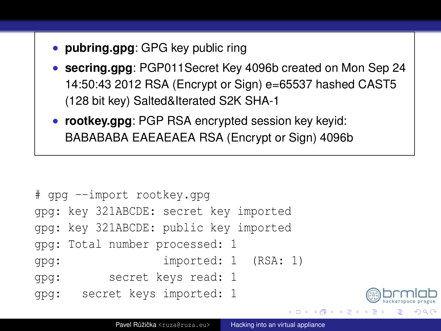- **pubring.gpg**: GPG key public ring
- **secring.gpg**: PGP011Secret Key 4096b created on Mon Sep 24 14:50:43 2012 RSA (Encrypt or Sign) e=65537 hashed CAST5 (128 bit key) Salted&Iterated S2K SHA-1
- **rootkey.gpg**: PGP RSA encrypted session key keyid: BABABABA EAEAEAEA RSA (Encrypt or Sign) 4096b

```
# gpg --import rootkey.gpg
gpg: key 321ABCDE: secret key imported
gpg: key 321ABCDE: public key imported
gpg: Total number processed: 1
gpg: imported: 1 (RSA: 1)
gpg: secret keys read: 1
gpg: secret keys imported: 1
```
4 ロ ト ィ 何 ト ィ ヨ ト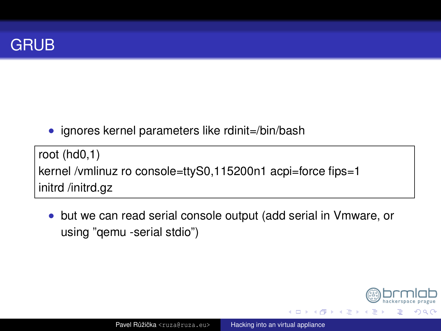

• ignores kernel parameters like rdinit=/bin/bash

root  $(hd0,1)$ kernel /vmlinuz ro console=ttyS0,115200n1 acpi=force fips=1 initrd /initrd.gz

but we can read serial console output (add serial in Vmware, or  $\bullet$ using "gemu -serial stdio")



**4 ロト 4 何 ト 4 月 ト**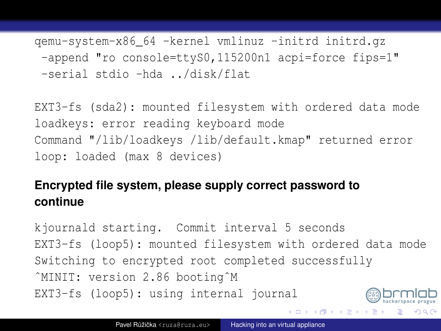qemu-system-x86\_64 -kernel vmlinuz -initrd initrd.gz -append "ro console=ttyS0,115200n1 acpi=force fips=1" -serial stdio -hda ../disk/flat

EXT3-fs (sda2): mounted filesystem with ordered data mode loadkeys: error reading keyboard mode Command "/lib/loadkeys /lib/default.kmap" returned error loop: loaded (max 8 devices)

#### **Encrypted file system, please supply correct password to continue**

kjournald starting. Commit interval 5 seconds EXT3-fs (loop5): mounted filesystem with ordered data mode Switching to encrypted root completed successfully ˆMINIT: version 2.86 bootingˆM EXT3-fs (loop5): using internal journal

モロトメ 御きメ ミトメ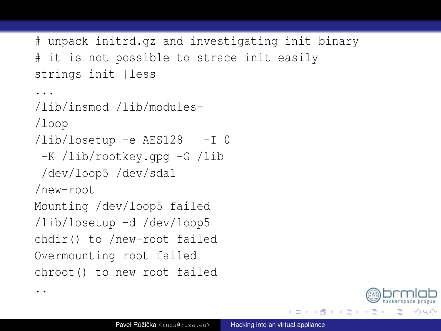```
# unpack initrd.gz and investigating init binary
# it is not possible to strace init easily
strings init lless
...
/lib/insmod /lib/modules-
/loop
/lib/losetup -e AES128 -I 0
 -K /lib/rootkey.gpg -G /lib
/dev/loop5 /dev/sda1
/new-root
Mounting /dev/loop5 failed
/lib/losetup -d /dev/loop5
chdir() to /new-root failed
Overmounting root failed
chroot() to new root failed
```
..



4 ロ ト ィ 何 ト ィ ヨ ト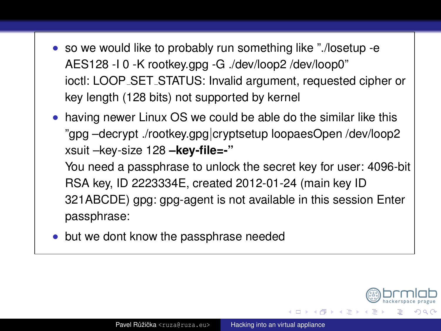- so we would like to probably run something like "./losetup -e AES128 -I 0 -K rootkey.gpg -G ./dev/loop2 /dev/loop0" ioctl: LOOP SET STATUS: Invalid argument, requested cipher or key length (128 bits) not supported by kernel
- having newer Linux OS we could be able do the similar like this "gpg –decrypt ./rootkey.gpg|cryptsetup loopaesOpen /dev/loop2 xsuit –key-size 128 **–key-file=-"**

You need a passphrase to unlock the secret key for user: 4096-bit RSA key, ID 2223334E, created 2012-01-24 (main key ID 321ABCDE) gpg: gpg-agent is not available in this session Enter passphrase:

• but we dont know the passphrase needed



4 ロ ト 4 何 ト 4 ヨ ト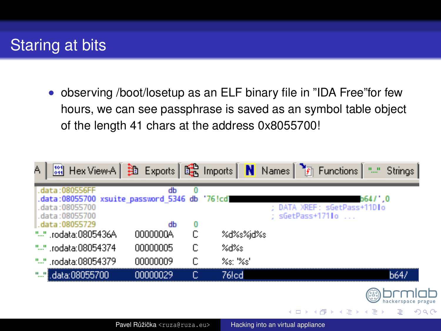# Staring at bits

• observing /boot/losetup as an ELF binary file in "IDA Free"for few hours, we can see passphrase is saved as an symbol table object of the length 41 chars at the address 0x8055700!

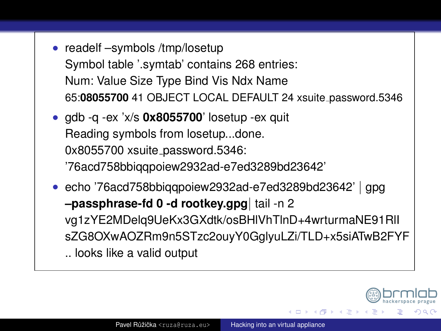- readelf –symbols /tmp/losetup Symbol table '.symtab' contains 268 entries: Num: Value Size Type Bind Vis Ndx Name 65:**08055700** 41 OBJECT LOCAL DEFAULT 24 xsuite password.5346
- gdb -q -ex 'x/s **0x8055700**' losetup -ex quit Reading symbols from losetup...done. 0x8055700 xsuite password.5346: '76acd758bbiqqpoiew2932ad-e7ed3289bd23642'
- echo '76acd758bbiqqpoiew2932ad-e7ed3289bd23642' | gpg **–passphrase-fd 0 -d rootkey.gpg**| tail -n 2 vg1zYE2MDelq9UeKx3GXdtk/osBHlVhTlnD+4wrturmaNE91RlI sZG8OXwAOZRm9n5STzc2ouyY0GglyuLZi/TLD+x5siATwB2FYF .. looks like a valid output

4 ロ ト 4 何 ト 4 ヨ ト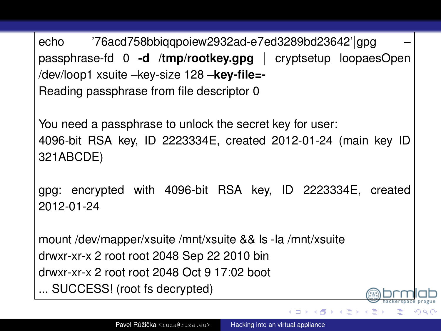```
echo '76acd758bbiqqpoiew2932ad-e7ed3289bd23642'|gpg –
passphrase-fd 0 -d /tmp/rootkey.gpg | cryptsetup loopaesOpen
/dev/loop1 xsuite –key-size 128 –key-file=-
Reading passphrase from file descriptor 0
```
You need a passphrase to unlock the secret key for user: 4096-bit RSA key, ID 2223334E, created 2012-01-24 (main key ID 321ABCDE)

gpg: encrypted with 4096-bit RSA key, ID 2223334E, created 2012-01-24

mount /dev/mapper/xsuite /mnt/xsuite && ls -la /mnt/xsuite drwxr-xr-x 2 root root 2048 Sep 22 2010 bin drwxr-xr-x 2 root root 2048 Oct 9 17:02 boot ... SUCCESS! (root fs decrypted)

4 ロ ト ィ 何 ト ィ ヨ ト

 $\Omega$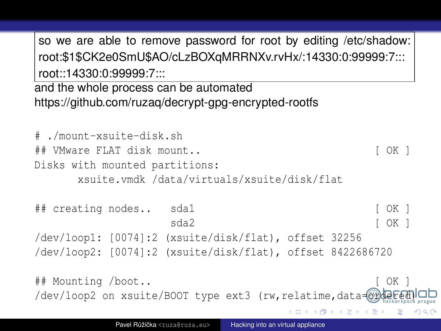so we are able to remove password for root by editing /etc/shadow: root:\$1\$CK2e0SmU\$AO/cLzBOXqMRRNXv.rvHx/:14330:0:99999:7::: root::14330:0:99999:7:::

and the whole process can be automated https://github.com/ruzaq/decrypt-gpg-encrypted-rootfs

# ./mount-xsuite-disk.sh ## VMware FLAT disk mount.. [ OK ] Disks with mounted partitions: xsuite.vmdk /data/virtuals/xsuite/disk/flat

## creating nodes.. sda1 [ OK ] sda2 [ OK ] /dev/loop1: [0074]:2 (xsuite/disk/flat), offset 32256 /dev/loop2: [0074]:2 (xsuite/disk/flat), offset 8422686720

## Mounting /boot.. [ OK ] /dev/loop2 on xsuite/BOOT type ext3 (rw, relatime, data=ordered

**4 ロト 4 何 ト 4 月 ト**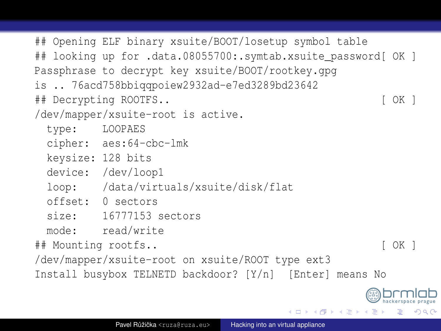## Opening ELF binary xsuite/BOOT/losetup symbol table ## looking up for .data.08055700:.symtab.xsuite password[ OK ] Passphrase to decrypt key xsuite/BOOT/rootkey.gpg is .. 76acd758bbiqqpoiew2932ad-e7ed3289bd23642 ## Decrypting ROOTFS.. [ OK ] /dev/mapper/xsuite-root is active. type: LOOPAES cipher: aes:64-cbc-lmk keysize: 128 bits device: /dev/loop1 loop: /data/virtuals/xsuite/disk/flat offset: 0 sectors size: 16777153 sectors mode: read/write ## Mounting rootfs.. [ OK ] /dev/mapper/xsuite-root on xsuite/ROOT type ext3 Install busybox TELNETD backdoor? [Y/n] [Enter] means No

4 0 3 4 5 3 4 5 3 4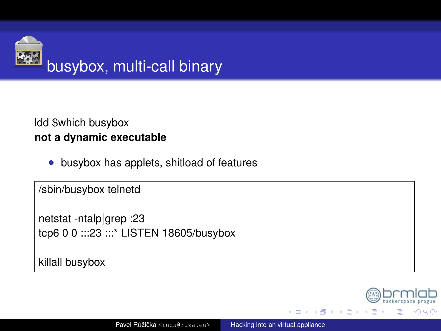

#### Idd \$which busybox not a dynamic executable

busybox has applets, shitload of features  $\bullet$ 

/sbin/busybox telnetd

netstat -ntalp|grep :23 tcp6 0 0 ::: 23 ::: \* LISTEN 18605/busybox

killall busybox



(□ ) (A

 $\sim$ (日)